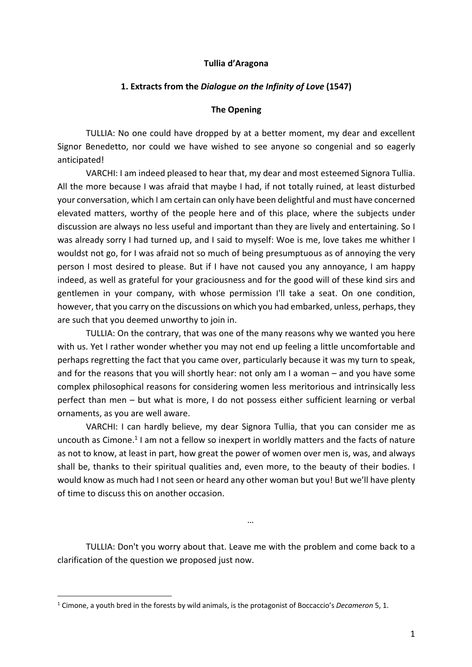## **Tullia d'Aragona**

## **1. Extracts from the** *Dialogue on the Infinity of Love* **(1547)**

## **The Opening**

TULLIA: No one could have dropped by at a better moment, my dear and excellent Signor Benedetto, nor could we have wished to see anyone so congenial and so eagerly anticipated!

VARCHI: I am indeed pleased to hear that, my dear and most esteemed Signora Tullia. All the more because I was afraid that maybe I had, if not totally ruined, at least disturbed your conversation, which I am certain can only have been delightful and must have concerned elevated matters, worthy of the people here and of this place, where the subjects under discussion are always no less useful and important than they are lively and entertaining. So I was already sorry I had turned up, and I said to myself: Woe is me, love takes me whither I wouldst not go, for I was afraid not so much of being presumptuous as of annoying the very person I most desired to please. But if I have not caused you any annoyance, I am happy indeed, as well as grateful for your graciousness and for the good will of these kind sirs and gentlemen in your company, with whose permission I'll take a seat. On one condition, however, that you carry on the discussions on which you had embarked, unless, perhaps, they are such that you deemed unworthy to join in.

TULLIA: On the contrary, that was one of the many reasons why we wanted you here with us. Yet I rather wonder whether you may not end up feeling a little uncomfortable and perhaps regretting the fact that you came over, particularly because it was my turn to speak, and for the reasons that you will shortly hear: not only am I a woman – and you have some complex philosophical reasons for considering women less meritorious and intrinsically less perfect than men – but what is more, I do not possess either sufficient learning or verbal ornaments, as you are well aware.

VARCHI: I can hardly believe, my dear Signora Tullia, that you can consider me as uncouth as Cimone.1 I am not a fellow so inexpert in worldly matters and the facts of nature as not to know, at least in part, how great the power of women over men is, was, and always shall be, thanks to their spiritual qualities and, even more, to the beauty of their bodies. I would know as much had I not seen or heard any other woman but you! But we'll have plenty of time to discuss this on another occasion.

TULLIA: Don't you worry about that. Leave me with the problem and come back to a clarification of the question we proposed just now.

…

<sup>1</sup> Cimone, a youth bred in the forests by wild animals, is the protagonist of Boccaccio's *Decameron* 5, 1.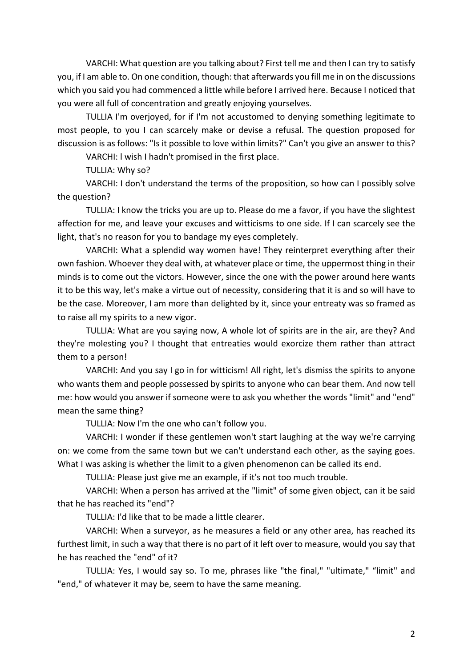VARCHI: What question are you talking about? First tell me and then I can try to satisfy you, if I am able to. On one condition, though: that afterwards you fill me in on the discussions which you said you had commenced a little while before I arrived here. Because I noticed that you were all full of concentration and greatly enjoying yourselves.

TULLIA I'm overjoyed, for if I'm not accustomed to denying something legitimate to most people, to you I can scarcely make or devise a refusal. The question proposed for discussion is as follows: "Is it possible to love within limits?" Can't you give an answer to this?

VARCHI: l wish I hadn't promised in the first place.

TULLIA: Why so?

VARCHI: I don't understand the terms of the proposition, so how can I possibly solve the question?

TULLIA: I know the tricks you are up to. Please do me a favor, if you have the slightest affection for me, and leave your excuses and witticisms to one side. If I can scarcely see the light, that's no reason for you to bandage my eyes completely.

VARCHI: What a splendid way women have! They reinterpret everything after their own fashion. Whoever they deal with, at whatever place or time, the uppermost thing in their minds is to come out the victors. However, since the one with the power around here wants it to be this way, let's make a virtue out of necessity, considering that it is and so will have to be the case. Moreover, I am more than delighted by it, since your entreaty was so framed as to raise all my spirits to a new vigor.

TULLIA: What are you saying now, A whole lot of spirits are in the air, are they? And they're molesting you? I thought that entreaties would exorcize them rather than attract them to a person!

VARCHI: And you say I go in for witticism! All right, let's dismiss the spirits to anyone who wants them and people possessed by spirits to anyone who can bear them. And now tell me: how would you answer if someone were to ask you whether the words "limit" and "end" mean the same thing?

TULLIA: Now I'm the one who can't follow you.

VARCHI: I wonder if these gentlemen won't start laughing at the way we're carrying on: we come from the same town but we can't understand each other, as the saying goes. What I was asking is whether the limit to a given phenomenon can be called its end.

TULLIA: Please just give me an example, if it's not too much trouble.

VARCHI: When a person has arrived at the "limit" of some given object, can it be said that he has reached its "end"?

TULLIA: I'd like that to be made a little clearer.

VARCHI: When a surveyor, as he measures a field or any other area, has reached its furthest limit, in such a way that there is no part of it left over to measure, would you say that he has reached the "end" of it?

TULLIA: Yes, I would say so. To me, phrases like "the final," "ultimate," "limit" and "end," of whatever it may be, seem to have the same meaning.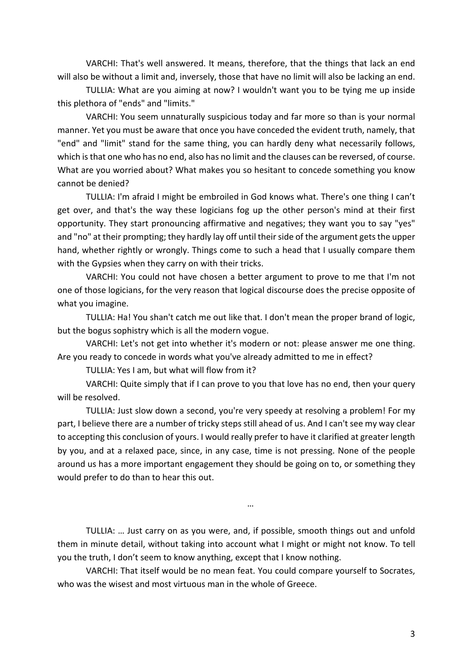VARCHI: That's well answered. It means, therefore, that the things that lack an end will also be without a limit and, inversely, those that have no limit will also be lacking an end.

TULLIA: What are you aiming at now? I wouldn't want you to be tying me up inside this plethora of "ends" and "limits."

VARCHI: You seem unnaturally suspicious today and far more so than is your normal manner. Yet you must be aware that once you have conceded the evident truth, namely, that "end" and "limit" stand for the same thing, you can hardly deny what necessarily follows, which is that one who has no end, also has no limit and the clauses can be reversed, of course. What are you worried about? What makes you so hesitant to concede something you know cannot be denied?

TULLIA: I'm afraid I might be embroiled in God knows what. There's one thing I can't get over, and that's the way these logicians fog up the other person's mind at their first opportunity. They start pronouncing affirmative and negatives; they want you to say "yes" and "no" at their prompting; they hardly lay off until their side of the argument gets the upper hand, whether rightly or wrongly. Things come to such a head that I usually compare them with the Gypsies when they carry on with their tricks.

VARCHI: You could not have chosen a better argument to prove to me that I'm not one of those logicians, for the very reason that logical discourse does the precise opposite of what you imagine.

TULLIA: Ha! You shan't catch me out like that. I don't mean the proper brand of logic, but the bogus sophistry which is all the modern vogue.

VARCHI: Let's not get into whether it's modern or not: please answer me one thing. Are you ready to concede in words what you've already admitted to me in effect?

TULLIA: Yes I am, but what will flow from it?

VARCHI: Quite simply that if I can prove to you that love has no end, then your query will be resolved.

TULLIA: Just slow down a second, you're very speedy at resolving a problem! For my part, I believe there are a number of tricky steps still ahead of us. And I can't see my way clear to accepting this conclusion of yours. I would really prefer to have it clarified at greater length by you, and at a relaxed pace, since, in any case, time is not pressing. None of the people around us has a more important engagement they should be going on to, or something they would prefer to do than to hear this out.

TULLIA: … Just carry on as you were, and, if possible, smooth things out and unfold them in minute detail, without taking into account what I might or might not know. To tell you the truth, I don't seem to know anything, except that I know nothing.

…

VARCHI: That itself would be no mean feat. You could compare yourself to Socrates, who was the wisest and most virtuous man in the whole of Greece.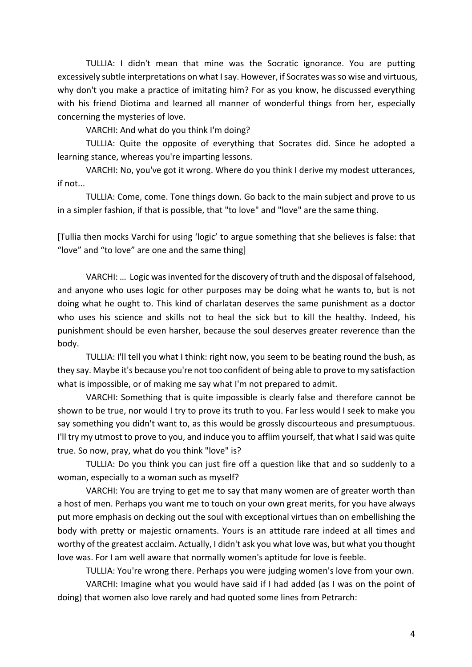TULLIA: I didn't mean that mine was the Socratic ignorance. You are putting excessively subtle interpretations on what I say. However, if Socrates was so wise and virtuous, why don't you make a practice of imitating him? For as you know, he discussed everything with his friend Diotima and learned all manner of wonderful things from her, especially concerning the mysteries of love.

VARCHI: And what do you think I'm doing?

TULLIA: Quite the opposite of everything that Socrates did. Since he adopted a learning stance, whereas you're imparting lessons.

VARCHI: No, you've got it wrong. Where do you think I derive my modest utterances, if not...

TULLIA: Come, come. Tone things down. Go back to the main subject and prove to us in a simpler fashion, if that is possible, that "to love" and "love" are the same thing.

[Tullia then mocks Varchi for using 'logic' to argue something that she believes is false: that "love" and "to love" are one and the same thing]

VARCHI: … Logic was invented for the discovery of truth and the disposal of falsehood, and anyone who uses logic for other purposes may be doing what he wants to, but is not doing what he ought to. This kind of charlatan deserves the same punishment as a doctor who uses his science and skills not to heal the sick but to kill the healthy. Indeed, his punishment should be even harsher, because the soul deserves greater reverence than the body.

TULLIA: I'll tell you what I think: right now, you seem to be beating round the bush, as they say. Maybe it's because you're not too confident of being able to prove to my satisfaction what is impossible, or of making me say what I'm not prepared to admit.

VARCHI: Something that is quite impossible is clearly false and therefore cannot be shown to be true, nor would I try to prove its truth to you. Far less would I seek to make you say something you didn't want to, as this would be grossly discourteous and presumptuous. I'll try my utmost to prove to you, and induce you to afflim yourself, that what I said was quite true. So now, pray, what do you think "love" is?

TULLIA: Do you think you can just fire off a question like that and so suddenly to a woman, especially to a woman such as myself?

VARCHI: You are trying to get me to say that many women are of greater worth than a host of men. Perhaps you want me to touch on your own great merits, for you have always put more emphasis on decking out the soul with exceptional virtues than on embellishing the body with pretty or majestic ornaments. Yours is an attitude rare indeed at all times and worthy of the greatest acclaim. Actually, I didn't ask you what love was, but what you thought love was. For I am well aware that normally women's aptitude for love is feeble.

TULLIA: You're wrong there. Perhaps you were judging women's love from your own.

VARCHI: Imagine what you would have said if I had added (as I was on the point of doing) that women also love rarely and had quoted some lines from Petrarch: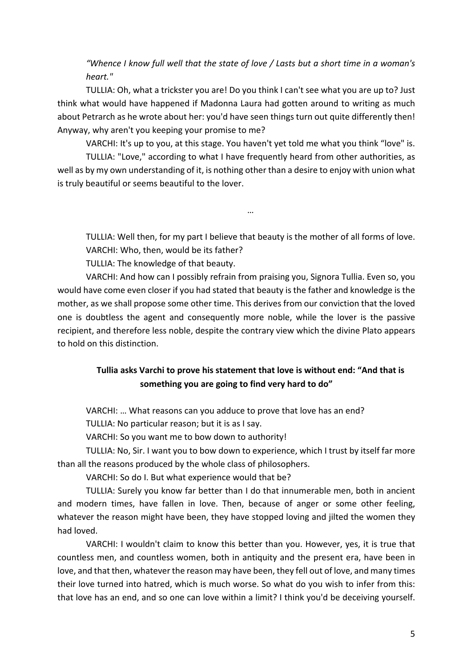*"Whence I know full well that the state of love / Lasts but a short time in a woman's heart."*

TULLIA: Oh, what a trickster you are! Do you think I can't see what you are up to? Just think what would have happened if Madonna Laura had gotten around to writing as much about Petrarch as he wrote about her: you'd have seen things turn out quite differently then! Anyway, why aren't you keeping your promise to me?

VARCHI: It's up to you, at this stage. You haven't yet told me what you think "love" is. TULLIA: "Love," according to what I have frequently heard from other authorities, as well as by my own understanding of it, is nothing other than a desire to enjoy with union what is truly beautiful or seems beautiful to the lover.

TULLIA: Well then, for my part I believe that beauty is the mother of all forms of love. VARCHI: Who, then, would be its father?

…

TULLIA: The knowledge of that beauty.

VARCHI: And how can I possibly refrain from praising you, Signora Tullia. Even so, you would have come even closer if you had stated that beauty is the father and knowledge is the mother, as we shall propose some other time. This derives from our conviction that the loved one is doubtless the agent and consequently more noble, while the lover is the passive recipient, and therefore less noble, despite the contrary view which the divine Plato appears to hold on this distinction.

# **Tullia asks Varchi to prove his statement that love is without end: "And that is something you are going to find very hard to do"**

VARCHI: … What reasons can you adduce to prove that love has an end?

TULLIA: No particular reason; but it is as I say.

VARCHI: So you want me to bow down to authority!

TULLIA: No, Sir. I want you to bow down to experience, which I trust by itself far more than all the reasons produced by the whole class of philosophers.

VARCHI: So do I. But what experience would that be?

TULLIA: Surely you know far better than I do that innumerable men, both in ancient and modern times, have fallen in love. Then, because of anger or some other feeling, whatever the reason might have been, they have stopped loving and jilted the women they had loved.

VARCHI: I wouldn't claim to know this better than you. However, yes, it is true that countless men, and countless women, both in antiquity and the present era, have been in love, and that then, whatever the reason may have been, they fell out of love, and many times their love turned into hatred, which is much worse. So what do you wish to infer from this: that love has an end, and so one can love within a limit? I think you'd be deceiving yourself.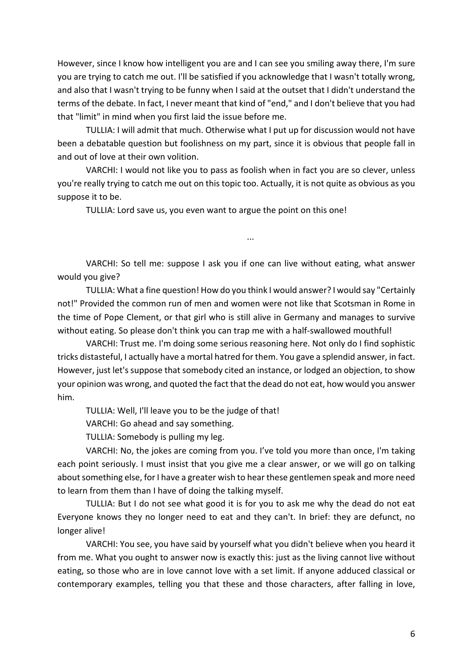However, since I know how intelligent you are and I can see you smiling away there, I'm sure you are trying to catch me out. I'll be satisfied if you acknowledge that I wasn't totally wrong, and also that I wasn't trying to be funny when I said at the outset that I didn't understand the terms of the debate. In fact, I never meant that kind of "end," and I don't believe that you had that "limit" in mind when you first laid the issue before me.

TULLIA: I will admit that much. Otherwise what I put up for discussion would not have been a debatable question but foolishness on my part, since it is obvious that people fall in and out of love at their own volition.

VARCHI: I would not like you to pass as foolish when in fact you are so clever, unless you're really trying to catch me out on this topic too. Actually, it is not quite as obvious as you suppose it to be.

TULLIA: Lord save us, you even want to argue the point on this one!

VARCHI: So tell me: suppose I ask you if one can live without eating, what answer would you give?

...

TULLIA: What a fine question! How do you think I would answer? I would say "Certainly not!" Provided the common run of men and women were not like that Scotsman in Rome in the time of Pope Clement, or that girl who is still alive in Germany and manages to survive without eating. So please don't think you can trap me with a half-swallowed mouthful!

VARCHI: Trust me. I'm doing some serious reasoning here. Not only do I find sophistic tricks distasteful, I actually have a mortal hatred for them. You gave a splendid answer, in fact. However, just let's suppose that somebody cited an instance, or lodged an objection, to show your opinion was wrong, and quoted the fact that the dead do not eat, how would you answer him.

TULLIA: Well, I'll leave you to be the judge of that!

VARCHI: Go ahead and say something.

TULLIA: Somebody is pulling my leg.

VARCHI: No, the jokes are coming from you. I've told you more than once, I'm taking each point seriously. I must insist that you give me a clear answer, or we will go on talking about something else, for I have a greater wish to hear these gentlemen speak and more need to learn from them than I have of doing the talking myself.

TULLIA: But I do not see what good it is for you to ask me why the dead do not eat Everyone knows they no longer need to eat and they can't. In brief: they are defunct, no longer alive!

VARCHI: You see, you have said by yourself what you didn't believe when you heard it from me. What you ought to answer now is exactly this: just as the living cannot live without eating, so those who are in love cannot love with a set limit. If anyone adduced classical or contemporary examples, telling you that these and those characters, after falling in love,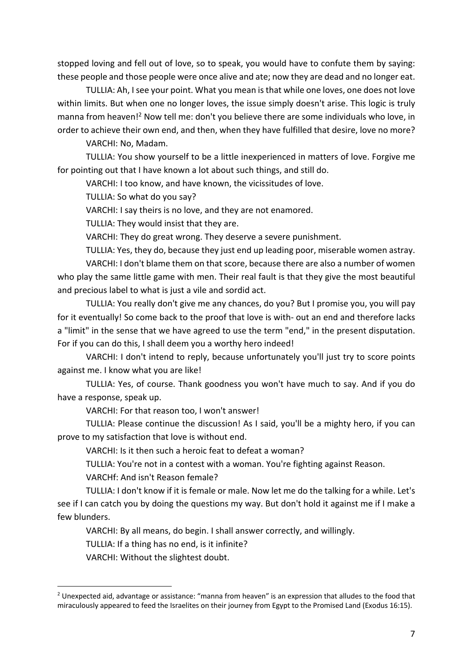stopped loving and fell out of love, so to speak, you would have to confute them by saying: these people and those people were once alive and ate; now they are dead and no longer eat.

TULLIA: Ah, I see your point. What you mean is that while one loves, one does not love within limits. But when one no longer loves, the issue simply doesn't arise. This logic is truly manna from heaven!<sup>2</sup> Now tell me: don't you believe there are some individuals who love, in order to achieve their own end, and then, when they have fulfilled that desire, love no more?

VARCHI: No, Madam.

TULLIA: You show yourself to be a little inexperienced in matters of love. Forgive me for pointing out that I have known a lot about such things, and still do.

VARCHI: I too know, and have known, the vicissitudes of love.

TULLIA: So what do you say?

VARCHI: I say theirs is no love, and they are not enamored.

TULLIA: They would insist that they are.

VARCHI: They do great wrong. They deserve a severe punishment.

TULLIA: Yes, they do, because they just end up leading poor, miserable women astray. VARCHI: I don't blame them on that score, because there are also a number of women who play the same little game with men. Their real fault is that they give the most beautiful and precious label to what is just a vile and sordid act.

TULLIA: You really don't give me any chances, do you? But I promise you, you will pay for it eventually! So come back to the proof that love is with- out an end and therefore lacks a "limit" in the sense that we have agreed to use the term "end," in the present disputation. For if you can do this, I shall deem you a worthy hero indeed!

VARCHI: I don't intend to reply, because unfortunately you'll just try to score points against me. I know what you are like!

TULLIA: Yes, of course. Thank goodness you won't have much to say. And if you do have a response, speak up.

VARCHI: For that reason too, I won't answer!

TULLIA: Please continue the discussion! As I said, you'll be a mighty hero, if you can prove to my satisfaction that love is without end.

VARCHI: Is it then such a heroic feat to defeat a woman?

TULLIA: You're not in a contest with a woman. You're fighting against Reason.

VARCHf: And isn't Reason female?

TULLIA: I don't know if it is female or male. Now let me do the talking for a while. Let's see if I can catch you by doing the questions my way. But don't hold it against me if I make a few blunders.

VARCHI: By all means, do begin. I shall answer correctly, and willingly.

TULLIA: If a thing has no end, is it infinite?

VARCHI: Without the slightest doubt.

 $<sup>2</sup>$  Unexpected aid, advantage or assistance: "manna from heaven" is an expression that alludes to the food that</sup> miraculously appeared to feed the Israelites on their journey from Egypt to the Promised Land (Exodus 16:15).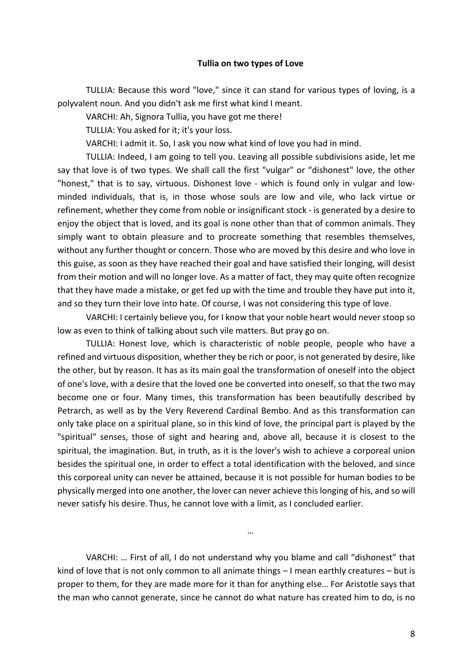#### **Tullia on two types of Love**

TULLIA: Because this word "love," since it can stand for various types of loving, is a polyvalent noun. And you didn't ask me first what kind I meant.

VARCHI: Ah, Signora Tullia, you have got me there!

TULLIA: You asked for it; it's your loss.

VARCHI: I admit it. So, I ask you now what kind of love you had in mind.

TULLIA: Indeed, I am going to tell you. Leaving all possible subdivisions aside, let me say that love is of two types. We shall call the first "vulgar" or "dishonest" love, the other "honest," that is to say, virtuous. Dishonest love - which is found only in vulgar and lowminded individuals, that is, in those whose souls are low and vile, who lack virtue or refinement, whether they come from noble or insignificant stock - is generated by a desire to enjoy the object that is loved, and its goal is none other than that of common animals. They simply want to obtain pleasure and to procreate something that resembles themselves, without any further thought or concern. Those who are moved by this desire and who love in this guise, as soon as they have reached their goal and have satisfied their longing, will desist from their motion and will no longer love. As a matter of fact, they may quite often recognize that they have made a mistake, or get fed up with the time and trouble they have put into it, and so they turn their love into hate. Of course, I was not considering this type of love.

VARCHI: I certainly believe you, for I know that your noble heart would never stoop so low as even to think of talking about such vile matters. But pray go on.

TULLIA: Honest love, which is characteristic of noble people, people who have a refined and virtuous disposition, whether they be rich or poor, is not generated by desire, like the other, but by reason. It has as its main goal the transformation of oneself into the object of one's love, with a desire that the loved one be converted into oneself, so that the two may become one or four. Many times, this transformation has been beautifully described by Petrarch, as well as by the Very Reverend Cardinal Bembo. And as this transformation can only take place on a spiritual plane, so in this kind of love, the principal part is played by the "spiritual" senses, those of sight and hearing and, above all, because it is closest to the spiritual, the imagination. But, in truth, as it is the lover's wish to achieve a corporeal union besides the spiritual one, in order to effect a total identification with the beloved, and since this corporeal unity can never be attained, because it is not possible for human bodies to be physically merged into one another, the lover can never achieve this longing of his, and so will never satisfy his desire. Thus, he cannot love with a limit, as I concluded earlier.

VARCHI: … First of all, I do not understand why you blame and call "dishonest" that kind of love that is not only common to all animate things – I mean earthly creatures – but is proper to them, for they are made more for it than for anything else… For Aristotle says that the man who cannot generate, since he cannot do what nature has created him to do, is no

…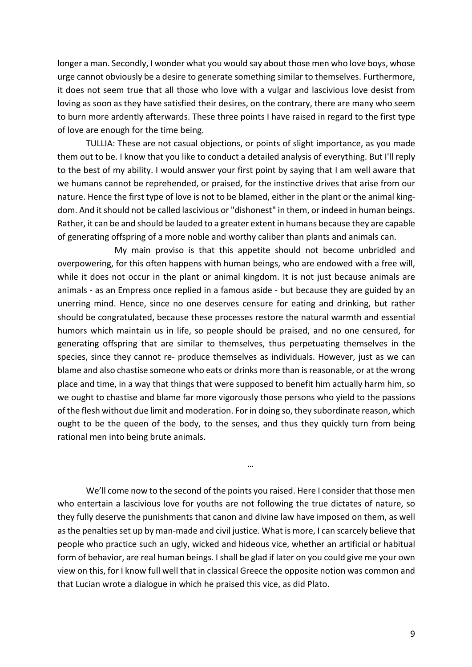longer a man. Secondly, I wonder what you would say about those men who love boys, whose urge cannot obviously be a desire to generate something similar to themselves. Furthermore, it does not seem true that all those who love with a vulgar and lascivious love desist from loving as soon as they have satisfied their desires, on the contrary, there are many who seem to burn more ardently afterwards. These three points I have raised in regard to the first type of love are enough for the time being.

TULLIA: These are not casual objections, or points of slight importance, as you made them out to be. I know that you like to conduct a detailed analysis of everything. But I'll reply to the best of my ability. I would answer your first point by saying that I am well aware that we humans cannot be reprehended, or praised, for the instinctive drives that arise from our nature. Hence the first type of love is not to be blamed, either in the plant or the animal kingdom. And it should not be called lascivious or "dishonest" in them, or indeed in human beings. Rather, it can be and should be lauded to a greater extent in humans because they are capable of generating offspring of a more noble and worthy caliber than plants and animals can.

My main proviso is that this appetite should not become unbridled and overpowering, for this often happens with human beings, who are endowed with a free will, while it does not occur in the plant or animal kingdom. It is not just because animals are animals - as an Empress once replied in a famous aside - but because they are guided by an unerring mind. Hence, since no one deserves censure for eating and drinking, but rather should be congratulated, because these processes restore the natural warmth and essential humors which maintain us in life, so people should be praised, and no one censured, for generating offspring that are similar to themselves, thus perpetuating themselves in the species, since they cannot re- produce themselves as individuals. However, just as we can blame and also chastise someone who eats or drinks more than is reasonable, or at the wrong place and time, in a way that things that were supposed to benefit him actually harm him, so we ought to chastise and blame far more vigorously those persons who yield to the passions of the flesh without due limit and moderation. For in doing so, they subordinate reason, which ought to be the queen of the body, to the senses, and thus they quickly turn from being rational men into being brute animals.

We'll come now to the second of the points you raised. Here I consider that those men who entertain a lascivious love for youths are not following the true dictates of nature, so they fully deserve the punishments that canon and divine law have imposed on them, as well as the penalties set up by man-made and civil justice. What is more, I can scarcely believe that people who practice such an ugly, wicked and hideous vice, whether an artificial or habitual form of behavior, are real human beings. I shall be glad if later on you could give me your own view on this, for I know full well that in classical Greece the opposite notion was common and that Lucian wrote a dialogue in which he praised this vice, as did Plato.

…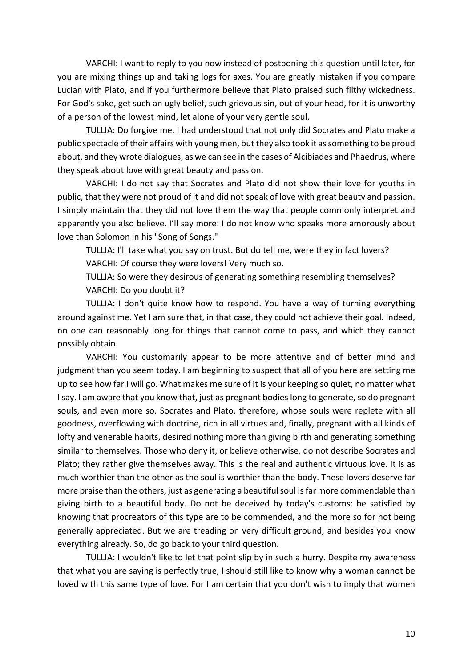VARCHI: I want to reply to you now instead of postponing this question until later, for you are mixing things up and taking logs for axes. You are greatly mistaken if you compare Lucian with Plato, and if you furthermore believe that Plato praised such filthy wickedness. For God's sake, get such an ugly belief, such grievous sin, out of your head, for it is unworthy of a person of the lowest mind, let alone of your very gentle soul.

TULLIA: Do forgive me. I had understood that not only did Socrates and Plato make a public spectacle of their affairs with young men, but they also took it as something to be proud about, and they wrote dialogues, as we can see in the cases of Alcibiades and Phaedrus, where they speak about love with great beauty and passion.

VARCHI: I do not say that Socrates and Plato did not show their love for youths in public, that they were not proud of it and did not speak of love with great beauty and passion. I simply maintain that they did not love them the way that people commonly interpret and apparently you also believe. I'll say more: I do not know who speaks more amorously about love than Solomon in his "Song of Songs."

TULLIA: I'll take what you say on trust. But do tell me, were they in fact lovers? VARCHI: Of course they were lovers! Very much so.

TULLIA: So were they desirous of generating something resembling themselves? VARCHI: Do you doubt it?

TULLIA: I don't quite know how to respond. You have a way of turning everything around against me. Yet I am sure that, in that case, they could not achieve their goal. Indeed, no one can reasonably long for things that cannot come to pass, and which they cannot possibly obtain.

VARCHI: You customarily appear to be more attentive and of better mind and judgment than you seem today. I am beginning to suspect that all of you here are setting me up to see how far I will go. What makes me sure of it is your keeping so quiet, no matter what I say. I am aware that you know that, just as pregnant bodies long to generate, so do pregnant souls, and even more so. Socrates and Plato, therefore, whose souls were replete with all goodness, overflowing with doctrine, rich in all virtues and, finally, pregnant with all kinds of lofty and venerable habits, desired nothing more than giving birth and generating something similar to themselves. Those who deny it, or believe otherwise, do not describe Socrates and Plato; they rather give themselves away. This is the real and authentic virtuous love. It is as much worthier than the other as the soul is worthier than the body. These lovers deserve far more praise than the others, just as generating a beautifulsoul isfar more commendable than giving birth to a beautiful body. Do not be deceived by today's customs: be satisfied by knowing that procreators of this type are to be commended, and the more so for not being generally appreciated. But we are treading on very difficult ground, and besides you know everything already. So, do go back to your third question.

TULLIA: I wouldn't like to let that point slip by in such a hurry. Despite my awareness that what you are saying is perfectly true, I should still like to know why a woman cannot be loved with this same type of love. For I am certain that you don't wish to imply that women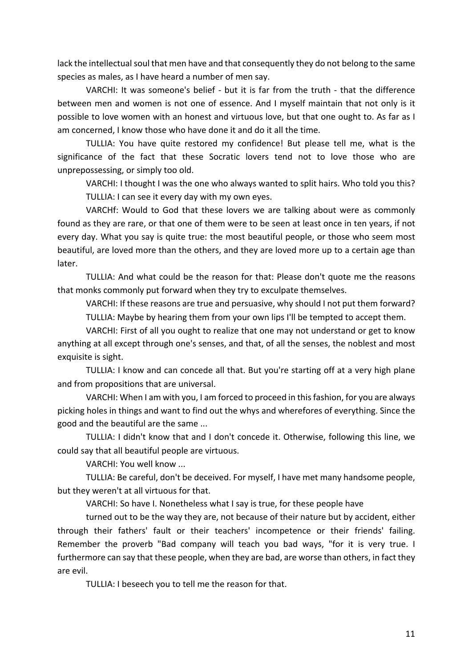lack the intellectual soul that men have and that consequently they do not belong to the same species as males, as I have heard a number of men say.

VARCHI: It was someone's belief - but it is far from the truth - that the difference between men and women is not one of essence. And I myself maintain that not only is it possible to love women with an honest and virtuous love, but that one ought to. As far as I am concerned, I know those who have done it and do it all the time.

TULLIA: You have quite restored my confidence! But please tell me, what is the significance of the fact that these Socratic lovers tend not to love those who are unprepossessing, or simply too old.

VARCHI: I thought I was the one who always wanted to split hairs. Who told you this? TULLIA: I can see it every day with my own eyes.

VARCHf: Would to God that these lovers we are talking about were as commonly found as they are rare, or that one of them were to be seen at least once in ten years, if not every day. What you say is quite true: the most beautiful people, or those who seem most beautiful, are loved more than the others, and they are loved more up to a certain age than later.

TULLIA: And what could be the reason for that: Please don't quote me the reasons that monks commonly put forward when they try to exculpate themselves.

VARCHI: If these reasons are true and persuasive, why should I not put them forward?

TULLIA: Maybe by hearing them from your own lips I'll be tempted to accept them.

VARCHI: First of all you ought to realize that one may not understand or get to know anything at all except through one's senses, and that, of all the senses, the noblest and most exquisite is sight.

TULLIA: I know and can concede all that. But you're starting off at a very high plane and from propositions that are universal.

VARCHI: When I am with you, I am forced to proceed in this fashion, for you are always picking holes in things and want to find out the whys and wherefores of everything. Since the good and the beautiful are the same ...

TULLIA: I didn't know that and I don't concede it. Otherwise, following this line, we could say that all beautiful people are virtuous.

VARCHI: You well know ...

TULLIA: Be careful, don't be deceived. For myself, I have met many handsome people, but they weren't at all virtuous for that.

VARCHI: So have I. Nonetheless what I say is true, for these people have

turned out to be the way they are, not because of their nature but by accident, either through their fathers' fault or their teachers' incompetence or their friends' failing. Remember the proverb "Bad company will teach you bad ways, "for it is very true. I furthermore can say that these people, when they are bad, are worse than others, in fact they are evil.

TULLIA: I beseech you to tell me the reason for that.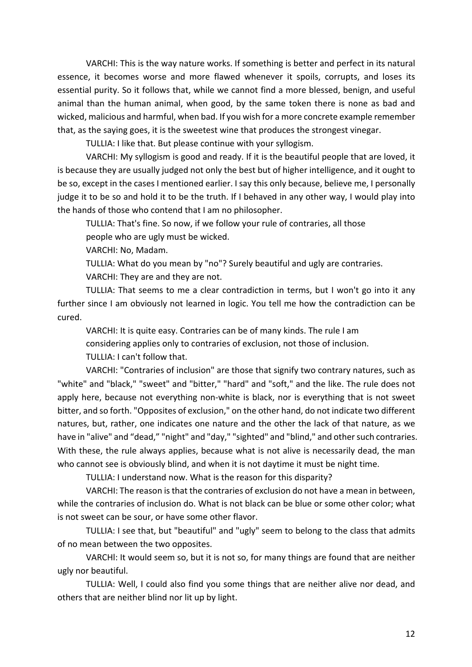VARCHI: This is the way nature works. If something is better and perfect in its natural essence, it becomes worse and more flawed whenever it spoils, corrupts, and loses its essential purity. So it follows that, while we cannot find a more blessed, benign, and useful animal than the human animal, when good, by the same token there is none as bad and wicked, malicious and harmful, when bad. If you wish for a more concrete example remember that, as the saying goes, it is the sweetest wine that produces the strongest vinegar.

TULLIA: I like that. But please continue with your syllogism.

VARCHI: My syllogism is good and ready. If it is the beautiful people that are loved, it is because they are usually judged not only the best but of higher intelligence, and it ought to be so, except in the cases I mentioned earlier. I say this only because, believe me, I personally judge it to be so and hold it to be the truth. If I behaved in any other way, I would play into the hands of those who contend that I am no philosopher.

TULLIA: That's fine. So now, if we follow your rule of contraries, all those

people who are ugly must be wicked.

VARCHI: No, Madam.

TULLIA: What do you mean by "no"? Surely beautiful and ugly are contraries.

VARCHI: They are and they are not.

TULLIA: That seems to me a clear contradiction in terms, but I won't go into it any further since I am obviously not learned in logic. You tell me how the contradiction can be cured.

VARCHI: It is quite easy. Contraries can be of many kinds. The rule I am considering applies only to contraries of exclusion, not those of inclusion. TULLIA: I can't follow that.

VARCHI: "Contraries of inclusion" are those that signify two contrary natures, such as "white" and "black," "sweet" and "bitter," "hard" and "soft," and the like. The rule does not apply here, because not everything non-white is black, nor is everything that is not sweet bitter, and so forth. "Opposites of exclusion," on the other hand, do not indicate two different natures, but, rather, one indicates one nature and the other the lack of that nature, as we have in "alive" and "dead," "night" and "day," "sighted" and "blind," and other such contraries. With these, the rule always applies, because what is not alive is necessarily dead, the man who cannot see is obviously blind, and when it is not daytime it must be night time.

TULLIA: I understand now. What is the reason for this disparity?

VARCHI: The reason is that the contraries of exclusion do not have a mean in between, while the contraries of inclusion do. What is not black can be blue or some other color; what is not sweet can be sour, or have some other flavor.

TULLIA: I see that, but "beautiful" and "ugly" seem to belong to the class that admits of no mean between the two opposites.

VARCHl: It would seem so, but it is not so, for many things are found that are neither ugly nor beautiful.

TULLIA: Well, I could also find you some things that are neither alive nor dead, and others that are neither blind nor lit up by light.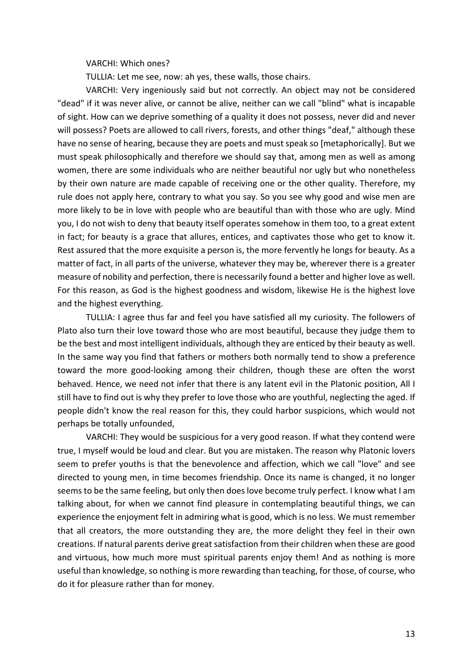#### VARCHI: Which ones?

TULLIA: Let me see, now: ah yes, these walls, those chairs.

VARCHI: Very ingeniously said but not correctly. An object may not be considered "dead" if it was never alive, or cannot be alive, neither can we call "blind" what is incapable of sight. How can we deprive something of a quality it does not possess, never did and never will possess? Poets are allowed to call rivers, forests, and other things "deaf," although these have no sense of hearing, because they are poets and must speak so [metaphorically]. But we must speak philosophically and therefore we should say that, among men as well as among women, there are some individuals who are neither beautiful nor ugly but who nonetheless by their own nature are made capable of receiving one or the other quality. Therefore, my rule does not apply here, contrary to what you say. So you see why good and wise men are more likely to be in love with people who are beautiful than with those who are ugly. Mind you, I do not wish to deny that beauty itself operates somehow in them too, to a great extent in fact; for beauty is a grace that allures, entices, and captivates those who get to know it. Rest assured that the more exquisite a person is, the more fervently he longs for beauty. As a matter of fact, in all parts of the universe, whatever they may be, wherever there is a greater measure of nobility and perfection, there is necessarily found a better and higher love as well. For this reason, as God is the highest goodness and wisdom, likewise He is the highest love and the highest everything.

TULLIA: I agree thus far and feel you have satisfied all my curiosity. The followers of Plato also turn their love toward those who are most beautiful, because they judge them to be the best and most intelligent individuals, although they are enticed by their beauty as well. In the same way you find that fathers or mothers both normally tend to show a preference toward the more good-looking among their children, though these are often the worst behaved. Hence, we need not infer that there is any latent evil in the Platonic position, All I still have to find out is why they prefer to love those who are youthful, neglecting the aged. If people didn't know the real reason for this, they could harbor suspicions, which would not perhaps be totally unfounded,

VARCHI: They would be suspicious for a very good reason. If what they contend were true, I myself would be loud and clear. But you are mistaken. The reason why Platonic lovers seem to prefer youths is that the benevolence and affection, which we call "love" and see directed to young men, in time becomes friendship. Once its name is changed, it no longer seems to be the same feeling, but only then does love become truly perfect. I know what I am talking about, for when we cannot find pleasure in contemplating beautiful things, we can experience the enjoyment felt in admiring what is good, which is no less. We must remember that all creators, the more outstanding they are, the more delight they feel in their own creations. If natural parents derive great satisfaction from their children when these are good and virtuous, how much more must spiritual parents enjoy them! And as nothing is more useful than knowledge, so nothing is more rewarding than teaching, for those, of course, who do it for pleasure rather than for money.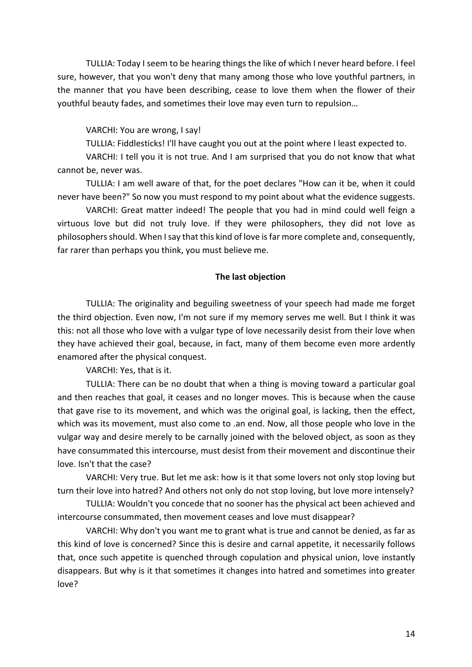TULLIA: Today I seem to be hearing things the like of which I never heard before. I feel sure, however, that you won't deny that many among those who love youthful partners, in the manner that you have been describing, cease to love them when the flower of their youthful beauty fades, and sometimes their love may even turn to repulsion…

# VARCHI: You are wrong, I say!

TULLIA: Fiddlesticks! I'll have caught you out at the point where I least expected to.

VARCHI: I tell you it is not true. And I am surprised that you do not know that what cannot be, never was.

TULLIA: I am well aware of that, for the poet declares "How can it be, when it could never have been?" So now you must respond to my point about what the evidence suggests.

VARCHI: Great matter indeed! The people that you had in mind could well feign a virtuous love but did not truly love. If they were philosophers, they did not love as philosophers should. When I say that this kind of love is far more complete and, consequently, far rarer than perhaps you think, you must believe me.

# **The last objection**

TULLIA: The originality and beguiling sweetness of your speech had made me forget the third objection. Even now, I'm not sure if my memory serves me well. But I think it was this: not all those who love with a vulgar type of love necessarily desist from their love when they have achieved their goal, because, in fact, many of them become even more ardently enamored after the physical conquest.

VARCHI: Yes, that is it.

TULLIA: There can be no doubt that when a thing is moving toward a particular goal and then reaches that goal, it ceases and no longer moves. This is because when the cause that gave rise to its movement, and which was the original goal, is lacking, then the effect, which was its movement, must also come to .an end. Now, all those people who love in the vulgar way and desire merely to be carnally joined with the beloved object, as soon as they have consummated this intercourse, must desist from their movement and discontinue their love. Isn't that the case?

VARCHI: Very true. But let me ask: how is it that some lovers not only stop loving but turn their love into hatred? And others not only do not stop loving, but love more intensely?

TULLIA: Wouldn't you concede that no sooner has the physical act been achieved and intercourse consummated, then movement ceases and love must disappear?

VARCHI: Why don't you want me to grant what is true and cannot be denied, as far as this kind of love is concerned? Since this is desire and carnal appetite, it necessarily follows that, once such appetite is quenched through copulation and physical union, love instantly disappears. But why is it that sometimes it changes into hatred and sometimes into greater love?